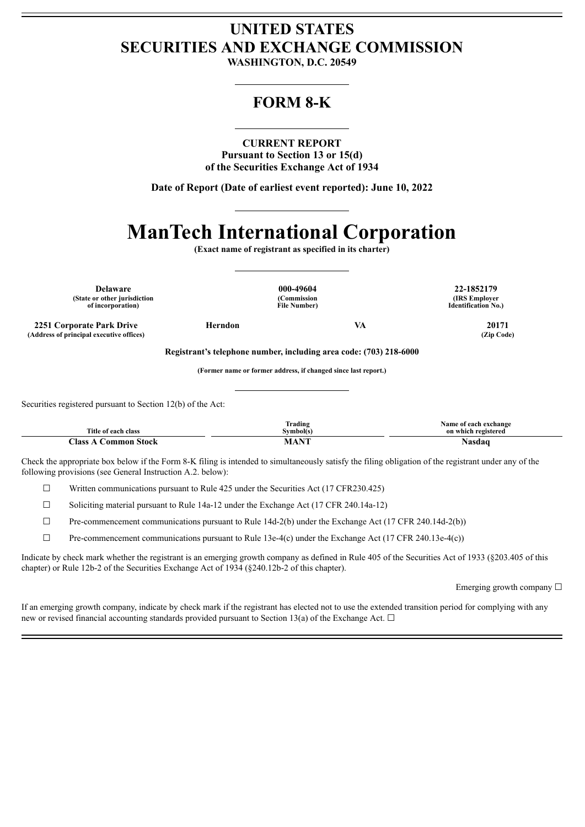## **UNITED STATES SECURITIES AND EXCHANGE COMMISSION**

**WASHINGTON, D.C. 20549**

### **FORM 8-K**

### **CURRENT REPORT**

**Pursuant to Section 13 or 15(d) of the Securities Exchange Act of 1934**

**Date of Report (Date of earliest event reported): June 10, 2022**

# **ManTech International Corporation**

**(Exact name of registrant as specified in its charter)**

**Delaware 000-49604 22-1852179 (State or other jurisdiction of incorporation)**

**(Commission File Number)**

**(IRS Employer Identification No.)**

**2251 Corporate Park Drive Herndon VA 20171**  $(A$ ddress of principal executive offices)

**Registrant's telephone number, including area code: (703) 218-6000**

**(Former name or former address, if changed since last report.)**

Securities registered pursuant to Section 12(b) of the Act:

| <b>Title</b><br>-class<br>ot each | $\overline{\phantom{a}}$<br>Trading<br>`vmbol(s.                                                                        | <b>Name</b><br>exchange<br>∙ot each<br>on which registered |
|-----------------------------------|-------------------------------------------------------------------------------------------------------------------------|------------------------------------------------------------|
| $\bigcap$ ass<br>nn<br>rner:      | $ -$<br>the contract of the contract of the contract of the contract of the contract of the contract of the contract of | vasdac                                                     |

Check the appropriate box below if the Form 8-K filing is intended to simultaneously satisfy the filing obligation of the registrant under any of the following provisions (see General Instruction A.2. below):

 $\Box$  Written communications pursuant to Rule 425 under the Securities Act (17 CFR230.425)

☐ Soliciting material pursuant to Rule 14a-12 under the Exchange Act (17 CFR 240.14a-12)

 $\Box$  Pre-commencement communications pursuant to Rule 14d-2(b) under the Exchange Act (17 CFR 240.14d-2(b))

 $\Box$  Pre-commencement communications pursuant to Rule 13e-4(c) under the Exchange Act (17 CFR 240.13e-4(c))

Indicate by check mark whether the registrant is an emerging growth company as defined in Rule 405 of the Securities Act of 1933 (§203.405 of this chapter) or Rule 12b-2 of the Securities Exchange Act of 1934 (§240.12b-2 of this chapter).

Emerging growth company ☐

If an emerging growth company, indicate by check mark if the registrant has elected not to use the extended transition period for complying with any new or revised financial accounting standards provided pursuant to Section 13(a) of the Exchange Act.  $\Box$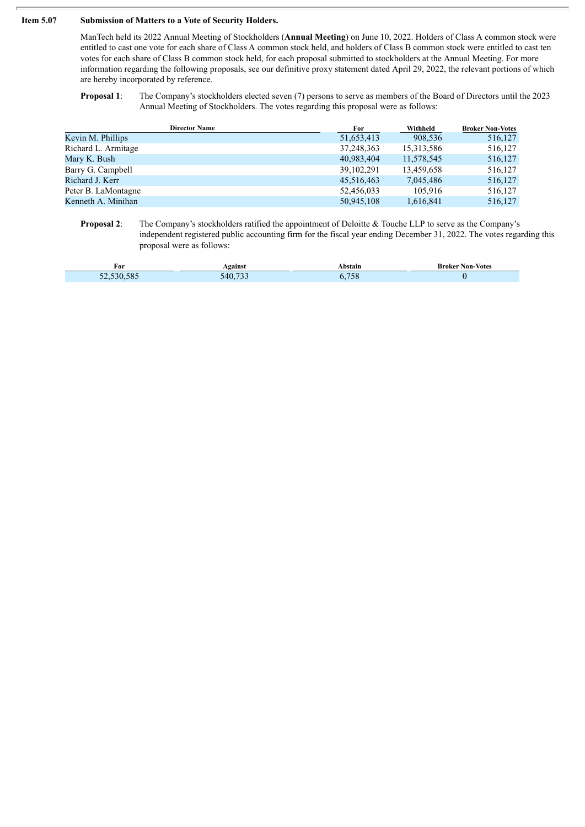#### **Item 5.07 Submission of Matters to a Vote of Security Holders.**

Í

ManTech held its 2022 Annual Meeting of Stockholders (**Annual Meeting**) on June 10, 2022. Holders of Class A common stock were entitled to cast one vote for each share of Class A common stock held, and holders of Class B common stock were entitled to cast ten votes for each share of Class B common stock held, for each proposal submitted to stockholders at the Annual Meeting. For more information regarding the following proposals, see our definitive proxy statement dated April 29, 2022, the relevant portions of which are hereby incorporated by reference.

**Proposal 1**: The Company's stockholders elected seven (7) persons to serve as members of the Board of Directors until the 2023 Annual Meeting of Stockholders. The votes regarding this proposal were as follows:

| <b>Director Name</b> | For          | Withheld   | <b>Broker Non-Votes</b> |
|----------------------|--------------|------------|-------------------------|
| Kevin M. Phillips    | 51,653,413   | 908,536    | 516,127                 |
| Richard L. Armitage  | 37,248,363   | 15,313,586 | 516,127                 |
| Mary K. Bush         | 40,983,404   | 11,578,545 | 516,127                 |
| Barry G. Campbell    | 39, 102, 291 | 13,459,658 | 516,127                 |
| Richard J. Kerr      | 45,516,463   | 7,045,486  | 516,127                 |
| Peter B. LaMontagne  | 52,456,033   | 105.916    | 516,127                 |
| Kenneth A. Minihan   | 50,945,108   | 1,616,841  | 516,127                 |
|                      |              |            |                         |

**Proposal 2:** The Company's stockholders ratified the appointment of Deloitte & Touche LLP to serve as the Company's independent registered public accounting firm for the fiscal year ending December 31, 2022. The votes regarding this proposal were as follows:

| For                                        | <b>\gains\</b>                   | <b>\bstain</b> | <b>Broker Non-Votes</b> |
|--------------------------------------------|----------------------------------|----------------|-------------------------|
| $\sim$ $\sim$<br>$-2,530,58$<br>$\epsilon$ | $\sim$ $\sim$<br>40 <sup>°</sup> | $-0$<br>0.738  |                         |